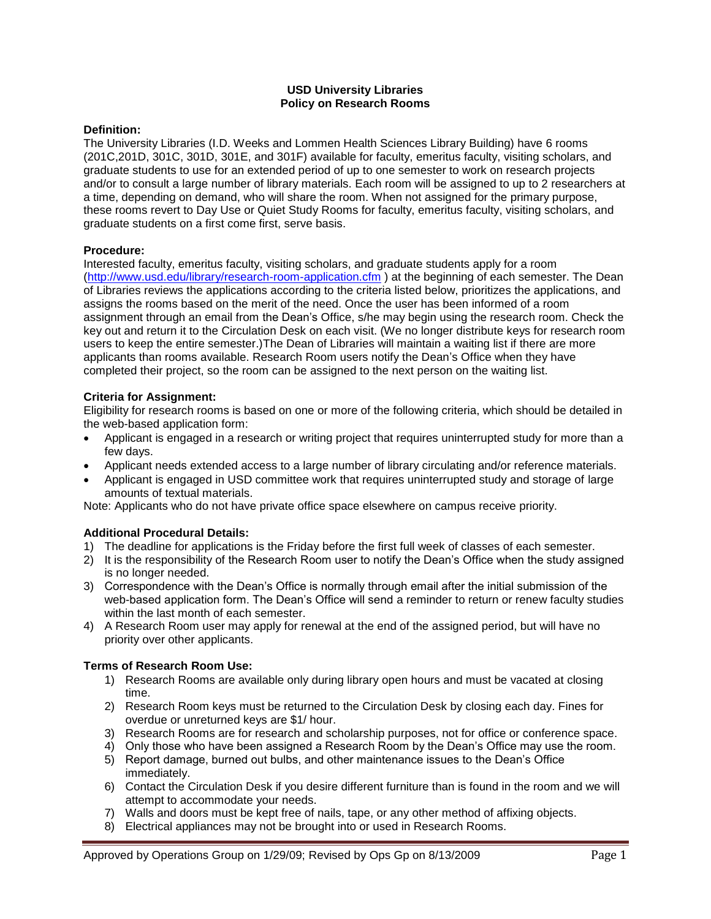## **USD University Libraries Policy on Research Rooms**

### **Definition:**

The University Libraries (I.D. Weeks and Lommen Health Sciences Library Building) have 6 rooms (201C,201D, 301C, 301D, 301E, and 301F) available for faculty, emeritus faculty, visiting scholars, and graduate students to use for an extended period of up to one semester to work on research projects and/or to consult a large number of library materials. Each room will be assigned to up to 2 researchers at a time, depending on demand, who will share the room. When not assigned for the primary purpose, these rooms revert to Day Use or Quiet Study Rooms for faculty, emeritus faculty, visiting scholars, and graduate students on a first come first, serve basis.

### **Procedure:**

Interested faculty, emeritus faculty, visiting scholars, and graduate students apply for a room [\(http://www.usd.edu/library/research-room-application.cfm](http://www.usd.edu/library/research-room-application.cfm) ) at the beginning of each semester. The Dean of Libraries reviews the applications according to the criteria listed below, prioritizes the applications, and assigns the rooms based on the merit of the need. Once the user has been informed of a room assignment through an email from the Dean's Office, s/he may begin using the research room. Check the key out and return it to the Circulation Desk on each visit. (We no longer distribute keys for research room users to keep the entire semester.)The Dean of Libraries will maintain a waiting list if there are more applicants than rooms available. Research Room users notify the Dean's Office when they have completed their project, so the room can be assigned to the next person on the waiting list.

### **Criteria for Assignment:**

Eligibility for research rooms is based on one or more of the following criteria, which should be detailed in the web-based application form:

- Applicant is engaged in a research or writing project that requires uninterrupted study for more than a few days.
- Applicant needs extended access to a large number of library circulating and/or reference materials.
- Applicant is engaged in USD committee work that requires uninterrupted study and storage of large amounts of textual materials.

Note: Applicants who do not have private office space elsewhere on campus receive priority.

# **Additional Procedural Details:**

- 1) The deadline for applications is the Friday before the first full week of classes of each semester.
- 2) It is the responsibility of the Research Room user to notify the Dean's Office when the study assigned is no longer needed.
- 3) Correspondence with the Dean's Office is normally through email after the initial submission of the web-based application form. The Dean's Office will send a reminder to return or renew faculty studies within the last month of each semester.
- 4) A Research Room user may apply for renewal at the end of the assigned period, but will have no priority over other applicants.

#### **Terms of Research Room Use:**

- 1) Research Rooms are available only during library open hours and must be vacated at closing time.
- 2) Research Room keys must be returned to the Circulation Desk by closing each day. Fines for overdue or unreturned keys are \$1/ hour.
- 3) Research Rooms are for research and scholarship purposes, not for office or conference space.
- 4) Only those who have been assigned a Research Room by the Dean's Office may use the room.
- 5) Report damage, burned out bulbs, and other maintenance issues to the Dean's Office immediately.
- 6) Contact the Circulation Desk if you desire different furniture than is found in the room and we will attempt to accommodate your needs.
- 7) Walls and doors must be kept free of nails, tape, or any other method of affixing objects.
- 8) Electrical appliances may not be brought into or used in Research Rooms.